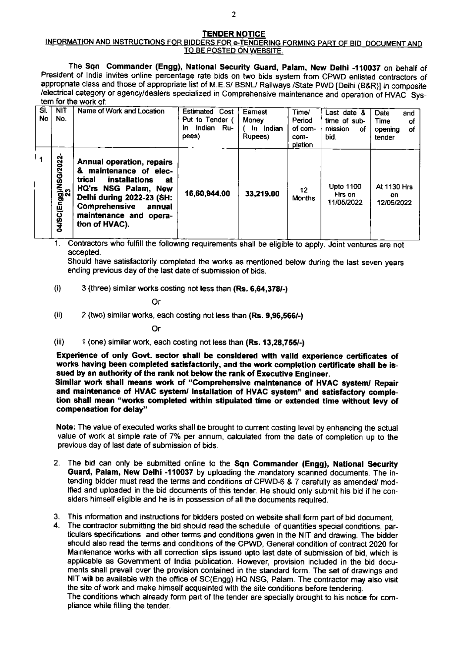## TENDER NOTICE

## INFORMATION AND INSTRUCTIONS FOR BIDDERS FOR e-TENDERING FORMING PART OF BID\_DOCUMENT AND TO BE POSTED ON WEBSITE.

The Sqn Commander (Engg), National Security Guard, Palam, New Delhi -110037 on behalf of President of lndia invites online percentage rate bids on two bids system from CPWD enlisted contractors of appropriate class and those of appropriate list of M.E.S/ BSNU Railways /State PWD [Delhi (B&R)] in composite /electrical category or agency/dealers specialized in Comprehensive maintenance and operation of HVAC System for the work of:

| SI.<br><b>No</b> | <b>NIT</b><br>No.          | Name of Work and Location                                                                                                                                                                                               | Estimated Cost<br>Put to Tender (<br>Indian Ru-<br>In.<br>pees) | Earnest<br>Money<br>In Indian<br>Rupees) | Time/<br>Period<br>of com-<br>com-<br>pletion | Last date &<br>time of sub-<br>mission<br>οf<br>bid. | Date<br>and<br>Time<br>оf<br>of<br>opening<br>tender |
|------------------|----------------------------|-------------------------------------------------------------------------------------------------------------------------------------------------------------------------------------------------------------------------|-----------------------------------------------------------------|------------------------------------------|-----------------------------------------------|------------------------------------------------------|------------------------------------------------------|
|                  | 04/SC(Engg)/NSG/2022<br>23 | Annual operation, repairs<br>& maintenance of elec-<br>trical<br>installations<br>at<br>HQ'rs NSG Palam, New<br>Delhi during 2022-23 (SH:<br><b>Comprehensive</b><br>annual<br>maintenance and opera-<br>tion of HVAC). | 16,60,944.00                                                    | 33,219.00                                | 12<br><b>Months</b>                           | Upto 1100<br>Hrs on<br>11/05/2022                    | At 1130 Hrs<br>on<br>12/05/2022                      |

1. Contractors who fulfill the following requirements shall be eligible to apply. Joint ventures are not accepted.

Should have satisfactorily completed the works as mentioned below during the last seven years ending previous day of the last date of submission of bids.

 $(i)$  3 (three) similar works costing not less than  $(Rs. 6.64.378/-)$ 

Or

 $(i)$  2 (two) similar works, each costing not less than  $(Rs. 9.96.566/-)$ 

Or

(iii)  $1$  (one) similar work, each costing not less than  $(Rs. 13, 28, 755/4)$ 

Experience of only Govt. sector shall be considered with valid experience certificates of works having been completed satisfactorily, and the work completion certiticate shall be issued by an authority of the rank not below the rank of Executive Engineer.

Slmllar wort shall means work of "Comprehensive maintenance of HVAC system/ Repair and maintenance of HVAC system/ Installation of HVAC system" and satisfactory completion shall mean "works completed within stipulated time or extended time without levy of compensation for delay"

Note: The value of executed works shall be brought to current costing level by enhancing the actual value of work at simple rate of 7% per annum, calculated from the date of completion up to the previous day of last date of submission of bids.

- 2. The bid can only be submitted online to the Sqn Commander (Engg), National Security Guard, Palam, New Delhi -110037 by uploading the mandatory scanned documents. The intending bidder must read the terms and conditions of CPWD-6 & 7 carefully as amended/ modified and uploaded in the bid documents of this tender. He should only submit his bid if he considers himself eligible and he is in possession of all the documents required.
- 3. This information and instructions for bidders posted on website shall form part of bid document. 4. The contractor submitting the bid should read the schedule of quantities special conditions, par-
- ticulars specifications and other terms and conditions given in the NIT and drawing. The bidder should also read the terms and conditions of the CPWD, General condition of contract 2020 for Maintenance works with all correction slips issued upto last date of submission of bid, which is applicable as Government of lndia publication. However, provision included in the bid documents shall prevail over the provision contained in the standard form. The set of drawings and NIT will be available with the office of SC(Engg) HQ NSG, Palam. The contractor may also visit the site of work and make himself acquainted with the site conditions before tendering.

The conditions which already form part of the tender are specially brought to his notice for compliance while filling the tender.